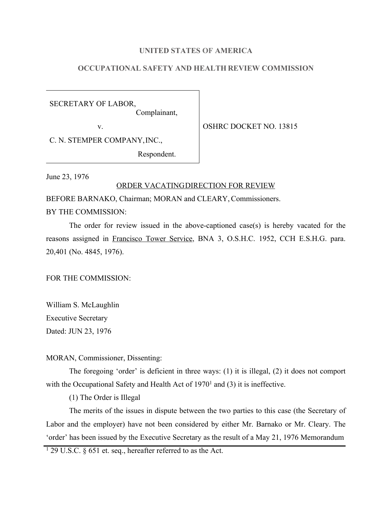## **UNITED STATES OF AMERICA**

# **OCCUPATIONAL SAFETY AND HEALTH REVIEW COMMISSION**

SECRETARY OF LABOR, Complainant,

v. SOUTH OSHRC DOCKET NO. 13815

C. N. STEMPER COMPANY,INC.,

Respondent.

June 23, 1976

## ORDER VACATINGDIRECTION FOR REVIEW

BEFORE BARNAKO, Chairman; MORAN and CLEARY, Commissioners.

BY THE COMMISSION:

The order for review issued in the above-captioned case(s) is hereby vacated for the reasons assigned in Francisco Tower Service, BNA 3, O.S.H.C. 1952, CCH E.S.H.G. para. 20,401 (No. 4845, 1976).

FOR THE COMMISSION:

William S. McLaughlin Executive Secretary Dated: JUN 23, 1976

MORAN, Commissioner, Dissenting:

The foregoing 'order' is deficient in three ways: (1) it is illegal, (2) it does not comport with the Occupational Safety and Health Act of 1970<sup>1</sup> and (3) it is ineffective.

(1) The Order is Illegal

The merits of the issues in dispute between the two parties to this case (the Secretary of Labor and the employer) have not been considered by either Mr. Barnako or Mr. Cleary. The 'order' has been issued by the Executive Secretary as the result of a May 21, 1976 Memorandum

<sup>1</sup> 29 U.S.C. § 651 et. seq., hereafter referred to as the Act.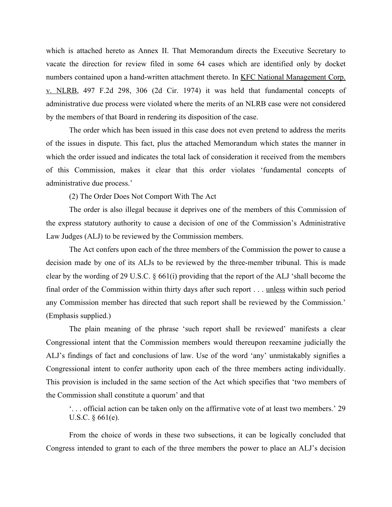which is attached hereto as Annex II. That Memorandum directs the Executive Secretary to vacate the direction for review filed in some 64 cases which are identified only by docket numbers contained upon a hand-written attachment thereto. In KFC National Management Corp. v. NLRB, 497 F.2d 298, 306 (2d Cir. 1974) it was held that fundamental concepts of administrative due process were violated where the merits of an NLRB case were not considered by the members of that Board in rendering its disposition of the case.

The order which has been issued in this case does not even pretend to address the merits of the issues in dispute. This fact, plus the attached Memorandum which states the manner in which the order issued and indicates the total lack of consideration it received from the members of this Commission, makes it clear that this order violates 'fundamental concepts of administrative due process.'

(2) The Order Does Not Comport With The Act

The order is also illegal because it deprives one of the members of this Commission of the express statutory authority to cause a decision of one of the Commission's Administrative Law Judges (ALJ) to be reviewed by the Commission members.

The Act confers upon each of the three members of the Commission the power to cause a decision made by one of its ALJs to be reviewed by the three-member tribunal. This is made clear by the wording of 29 U.S.C. § 661(i) providing that the report of the ALJ 'shall become the final order of the Commission within thirty days after such report . . . unless within such period any Commission member has directed that such report shall be reviewed by the Commission.' (Emphasis supplied.)

The plain meaning of the phrase 'such report shall be reviewed' manifests a clear Congressional intent that the Commission members would thereupon reexamine judicially the ALJ's findings of fact and conclusions of law. Use of the word 'any' unmistakably signifies a Congressional intent to confer authority upon each of the three members acting individually. This provision is included in the same section of the Act which specifies that 'two members of the Commission shall constitute a quorum' and that

'. . . official action can be taken only on the affirmative vote of at least two members.' 29 U.S.C. § 661(e).

From the choice of words in these two subsections, it can be logically concluded that Congress intended to grant to each of the three members the power to place an ALJ's decision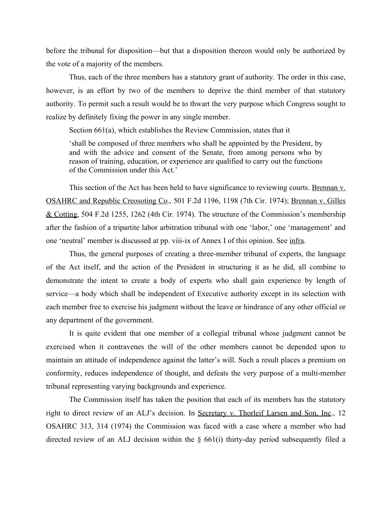before the tribunal for disposition—but that a disposition thereon would only be authorized by the vote of a majority of the members.

Thus, each of the three members has a statutory grant of authority. The order in this case, however, is an effort by two of the members to deprive the third member of that statutory authority. To permit such a result would be to thwart the very purpose which Congress sought to realize by definitely fixing the power in any single member.

Section 661(a), which establishes the Review Commission, states that it

'shall be composed of three members who shall be appointed by the President, by and with the advice and consent of the Senate, from among persons who by reason of training, education, or experience are qualified to carry out the functions of the Commission under this Act.'

This section of the Act has been held to have significance to reviewing courts. Brennan v. OSAHRC and Republic Creosoting Co., 501 F.2d 1196, 1198 (7th Cir. 1974); Brennan v. Gilles & Cotting, 504 F.2d 1255, 1262 (4th Cir. 1974). The structure of the Commission's membership after the fashion of a tripartite labor arbitration tribunal with one 'labor,' one 'management' and one 'neutral' member is discussed at pp. viii-ix of Annex I of this opinion. See infra.

Thus, the general purposes of creating a three-member tribunal of experts, the language of the Act itself, and the action of the President in structuring it as he did, all combine to demonstrate the intent to create a body of experts who shall gain experience by length of service—a body which shall be independent of Executive authority except in its selection with each member free to exercise his judgment without the leave or hindrance of any other official or any department of the government.

It is quite evident that one member of a collegial tribunal whose judgment cannot be exercised when it contravenes the will of the other members cannot be depended upon to maintain an attitude of independence against the latter's will. Such a result places a premium on conformity, reduces independence of thought, and defeats the very purpose of a multi-member tribunal representing varying backgrounds and experience.

The Commission itself has taken the position that each of its members has the statutory right to direct review of an ALJ's decision. In Secretary v. Thorleif Larsen and Son, Inc., 12 OSAHRC 313, 314 (1974) the Commission was faced with a case where a member who had directed review of an ALJ decision within the  $\S$  661(i) thirty-day period subsequently filed a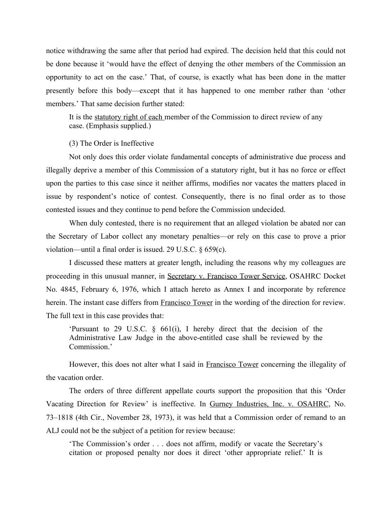notice withdrawing the same after that period had expired. The decision held that this could not be done because it 'would have the effect of denying the other members of the Commission an opportunity to act on the case.' That, of course, is exactly what has been done in the matter presently before this body—except that it has happened to one member rather than 'other members.' That same decision further stated:

It is the statutory right of each member of the Commission to direct review of any case. (Emphasis supplied.)

(3) The Order is Ineffective

Not only does this order violate fundamental concepts of administrative due process and illegally deprive a member of this Commission of a statutory right, but it has no force or effect upon the parties to this case since it neither affirms, modifies nor vacates the matters placed in issue by respondent's notice of contest. Consequently, there is no final order as to those contested issues and they continue to pend before the Commission undecided.

When duly contested, there is no requirement that an alleged violation be abated nor can the Secretary of Labor collect any monetary penalties—or rely on this case to prove a prior violation—until a final order is issued. 29 U.S.C. § 659(c).

I discussed these matters at greater length, including the reasons why my colleagues are proceeding in this unusual manner, in Secretary v. Francisco Tower Service, OSAHRC Docket No. 4845, February 6, 1976, which I attach hereto as Annex I and incorporate by reference herein. The instant case differs from **Francisco Tower** in the wording of the direction for review. The full text in this case provides that:

'Pursuant to 29 U.S.C. § 661(i), I hereby direct that the decision of the Administrative Law Judge in the above-entitled case shall be reviewed by the Commission.'

However, this does not alter what I said in Francisco Tower concerning the illegality of the vacation order.

The orders of three different appellate courts support the proposition that this 'Order Vacating Direction for Review' is ineffective. In Gurney Industries, Inc. v. OSAHRC, No. 73–1818 (4th Cir., November 28, 1973), it was held that a Commission order of remand to an ALJ could not be the subject of a petition for review because:

'The Commission's order . . . does not affirm, modify or vacate the Secretary's citation or proposed penalty nor does it direct 'other appropriate relief.' It is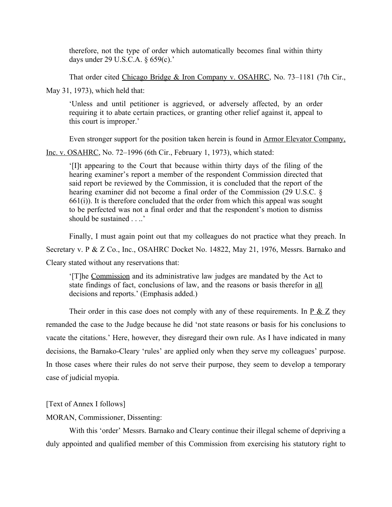therefore, not the type of order which automatically becomes final within thirty days under 29 U.S.C.A. § 659(c).'

That order cited Chicago Bridge & Iron Company v. OSAHRC, No. 73-1181 (7th Cir., May 31, 1973), which held that:

'Unless and until petitioner is aggrieved, or adversely affected, by an order requiring it to abate certain practices, or granting other relief against it, appeal to this court is improper.'

Even stronger support for the position taken herein is found in Armor Elevator Company,

Inc. v. OSAHRC, No. 72–1996 (6th Cir., February 1, 1973), which stated:

'[I]t appearing to the Court that because within thirty days of the filing of the hearing examiner's report a member of the respondent Commission directed that said report be reviewed by the Commission, it is concluded that the report of the hearing examiner did not become a final order of the Commission (29 U.S.C. §  $661(i)$ ). It is therefore concluded that the order from which this appeal was sought to be perfected was not a final order and that the respondent's motion to dismiss should be sustained . . ..'

Finally, I must again point out that my colleagues do not practice what they preach. In

Secretary v. P & Z Co., Inc., OSAHRC Docket No. 14822, May 21, 1976, Messrs. Barnako and Cleary stated without any reservations that:

'[T]he Commission and its administrative law judges are mandated by the Act to state findings of fact, conclusions of law, and the reasons or basis therefor in all decisions and reports.' (Emphasis added.)

Their order in this case does not comply with any of these requirements. In  $\underline{P} \& \underline{Z}$  they remanded the case to the Judge because he did 'not state reasons or basis for his conclusions to vacate the citations.' Here, however, they disregard their own rule. As I have indicated in many decisions, the Barnako-Cleary 'rules' are applied only when they serve my colleagues' purpose. In those cases where their rules do not serve their purpose, they seem to develop a temporary case of judicial myopia.

[Text of Annex I follows]

MORAN, Commissioner, Dissenting:

With this 'order' Messrs. Barnako and Cleary continue their illegal scheme of depriving a duly appointed and qualified member of this Commission from exercising his statutory right to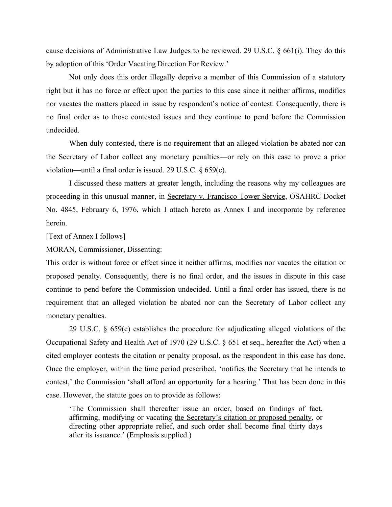cause decisions of Administrative Law Judges to be reviewed. 29 U.S.C. § 661(i). They do this by adoption of this 'Order Vacating Direction For Review.'

Not only does this order illegally deprive a member of this Commission of a statutory right but it has no force or effect upon the parties to this case since it neither affirms, modifies nor vacates the matters placed in issue by respondent's notice of contest. Consequently, there is no final order as to those contested issues and they continue to pend before the Commission undecided.

When duly contested, there is no requirement that an alleged violation be abated nor can the Secretary of Labor collect any monetary penalties—or rely on this case to prove a prior violation—until a final order is issued. 29 U.S.C. § 659(c).

I discussed these matters at greater length, including the reasons why my colleagues are proceeding in this unusual manner, in Secretary v. Francisco Tower Service, OSAHRC Docket No. 4845, February 6, 1976, which I attach hereto as Annex I and incorporate by reference herein.

[Text of Annex I follows]

MORAN, Commissioner, Dissenting:

This order is without force or effect since it neither affirms, modifies nor vacates the citation or proposed penalty. Consequently, there is no final order, and the issues in dispute in this case continue to pend before the Commission undecided. Until a final order has issued, there is no requirement that an alleged violation be abated nor can the Secretary of Labor collect any monetary penalties.

29 U.S.C. § 659(c) establishes the procedure for adjudicating alleged violations of the Occupational Safety and Health Act of 1970 (29 U.S.C. § 651 et seq., hereafter the Act) when a cited employer contests the citation or penalty proposal, as the respondent in this case has done. Once the employer, within the time period prescribed, 'notifies the Secretary that he intends to contest,' the Commission 'shall afford an opportunity for a hearing.' That has been done in this case. However, the statute goes on to provide as follows:

'The Commission shall thereafter issue an order, based on findings of fact, affirming, modifying or vacating the Secretary's citation or proposed penalty, or directing other appropriate relief, and such order shall become final thirty days after its issuance.' (Emphasis supplied.)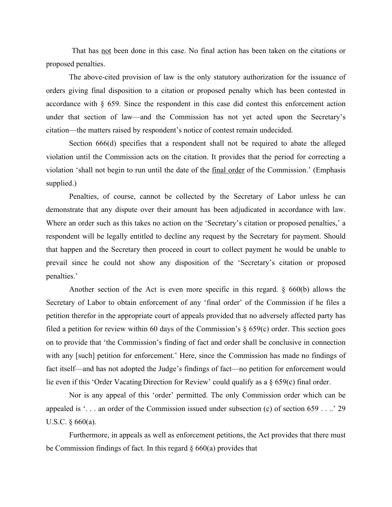That has not been done in this case. No final action has been taken on the citations or proposed penalties.

The above-cited provision of law is the only statutory authorization for the issuance of orders giving final disposition to a citation or proposed penalty which has been contested in accordance with § 659. Since the respondent in this case did contest this enforcement action under that section of law—and the Commission has not yet acted upon the Secretary's citation—the matters raised by respondent's notice of contest remain undecided.

Section 666(d) specifies that a respondent shall not be required to abate the alleged violation until the Commission acts on the citation. It provides that the period for correcting a violation 'shall not begin to run until the date of the final order of the Commission.' (Emphasis supplied.)

Penalties, of course, cannot be collected by the Secretary of Labor unless he can demonstrate that any dispute over their amount has been adjudicated in accordance with law. Where an order such as this takes no action on the 'Secretary's citation or proposed penalties,' a respondent will be legally entitled to decline any request by the Secretary for payment. Should that happen and the Secretary then proceed in court to collect payment he would be unable to prevail since he could not show any disposition of the 'Secretary's citation or proposed penalties.'

Another section of the Act is even more specific in this regard. § 660(b) allows the Secretary of Labor to obtain enforcement of any 'final order' of the Commission if he files a petition therefor in the appropriate court of appeals provided that no adversely affected party has filed a petition for review within 60 days of the Commission's  $\S$  659(c) order. This section goes on to provide that 'the Commission's finding of fact and order shall be conclusive in connection with any [such] petition for enforcement.' Here, since the Commission has made no findings of fact itself—and has not adopted the Judge's findings of fact—no petition for enforcement would lie even if this 'Order Vacating Direction for Review' could qualify as a § 659(c) final order.

Nor is any appeal of this 'order' permitted. The only Commission order which can be appealed is '. . . an order of the Commission issued under subsection (c) of section 659 . . ..' 29 U.S.C. § 660(a).

Furthermore, in appeals as well as enforcement petitions, the Act provides that there must be Commission findings of fact. In this regard  $\S$  660(a) provides that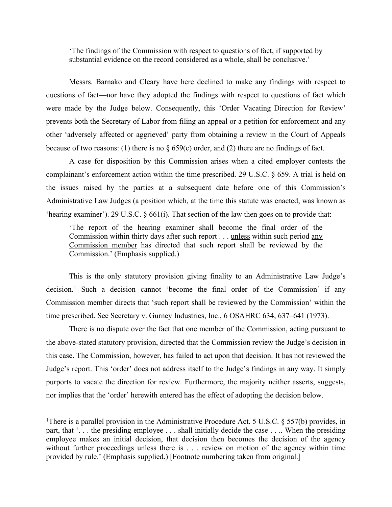'The findings of the Commission with respect to questions of fact, if supported by substantial evidence on the record considered as a whole, shall be conclusive.'

Messrs. Barnako and Cleary have here declined to make any findings with respect to questions of fact—nor have they adopted the findings with respect to questions of fact which were made by the Judge below. Consequently, this 'Order Vacating Direction for Review' prevents both the Secretary of Labor from filing an appeal or a petition for enforcement and any other 'adversely affected or aggrieved' party from obtaining a review in the Court of Appeals because of two reasons: (1) there is no  $\S 659(c)$  order, and (2) there are no findings of fact.

A case for disposition by this Commission arises when a cited employer contests the complainant's enforcement action within the time prescribed. 29 U.S.C. § 659. A trial is held on the issues raised by the parties at a subsequent date before one of this Commission's Administrative Law Judges (a position which, at the time this statute was enacted, was known as 'hearing examiner'). 29 U.S.C. § 661(i). That section of the law then goes on to provide that:

'The report of the hearing examiner shall become the final order of the Commission within thirty days after such report . . . unless within such period any Commission member has directed that such report shall be reviewed by the Commission.' (Emphasis supplied.)

This is the only statutory provision giving finality to an Administrative Law Judge's decision.<sup>1</sup> Such a decision cannot 'become the final order of the Commission' if any Commission member directs that 'such report shall be reviewed by the Commission' within the time prescribed. See Secretary v. Gurney Industries, Inc., 6 OSAHRC 634, 637–641 (1973).

There is no dispute over the fact that one member of the Commission, acting pursuant to the above-stated statutory provision, directed that the Commission review the Judge's decision in this case. The Commission, however, has failed to act upon that decision. It has not reviewed the Judge's report. This 'order' does not address itself to the Judge's findings in any way. It simply purports to vacate the direction for review. Furthermore, the majority neither asserts, suggests, nor implies that the 'order' herewith entered has the effect of adopting the decision below.

<sup>&</sup>lt;sup>1</sup>There is a parallel provision in the Administrative Procedure Act. 5 U.S.C. § 557(b) provides, in part, that '. . . the presiding employee . . . shall initially decide the case . . .. When the presiding employee makes an initial decision, that decision then becomes the decision of the agency without further proceedings unless there is . . . review on motion of the agency within time provided by rule.' (Emphasis supplied.) [Footnote numbering taken from original.]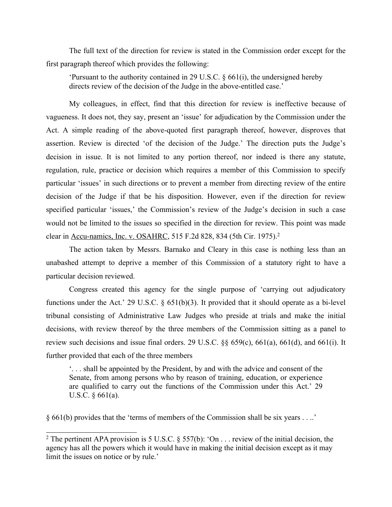The full text of the direction for review is stated in the Commission order except for the first paragraph thereof which provides the following:

'Pursuant to the authority contained in 29 U.S.C. § 661(i), the undersigned hereby directs review of the decision of the Judge in the above-entitled case.'

My colleagues, in effect, find that this direction for review is ineffective because of vagueness. It does not, they say, present an 'issue' for adjudication by the Commission under the Act. A simple reading of the above-quoted first paragraph thereof, however, disproves that assertion. Review is directed 'of the decision of the Judge.' The direction puts the Judge's decision in issue. It is not limited to any portion thereof, nor indeed is there any statute, regulation, rule, practice or decision which requires a member of this Commission to specify particular 'issues' in such directions or to prevent a member from directing review of the entire decision of the Judge if that be his disposition. However, even if the direction for review specified particular 'issues,' the Commission's review of the Judge's decision in such a case would not be limited to the issues so specified in the direction for review. This point was made clear in Accu-namics, Inc. v. OSAHRC, 515 F.2d 828, 834 (5th Cir. 1975).<sup>2</sup>

The action taken by Messrs. Barnako and Cleary in this case is nothing less than an unabashed attempt to deprive a member of this Commission of a statutory right to have a particular decision reviewed.

Congress created this agency for the single purpose of 'carrying out adjudicatory functions under the Act.' 29 U.S.C. § 651(b)(3). It provided that it should operate as a bi-level tribunal consisting of Administrative Law Judges who preside at trials and make the initial decisions, with review thereof by the three members of the Commission sitting as a panel to review such decisions and issue final orders. 29 U.S.C. §§ 659(c), 661(a), 661(d), and 661(i). It further provided that each of the three members

'. . . shall be appointed by the President, by and with the advice and consent of the Senate, from among persons who by reason of training, education, or experience are qualified to carry out the functions of the Commission under this Act.' 29 U.S.C. § 661(a).

§ 661(b) provides that the 'terms of members of the Commission shall be six years . . ..'

<sup>&</sup>lt;sup>2</sup> The pertinent APA provision is 5 U.S.C. § 557(b): 'On . . . review of the initial decision, the agency has all the powers which it would have in making the initial decision except as it may limit the issues on notice or by rule.'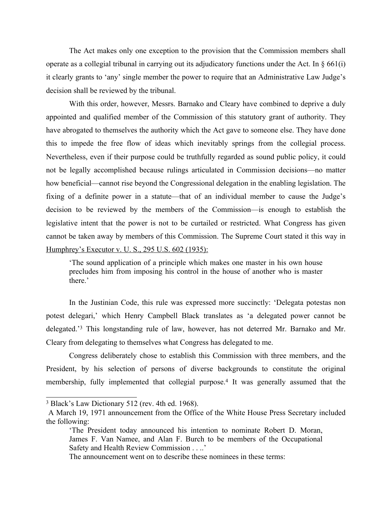The Act makes only one exception to the provision that the Commission members shall operate as a collegial tribunal in carrying out its adjudicatory functions under the Act. In § 661(i) it clearly grants to 'any' single member the power to require that an Administrative Law Judge's decision shall be reviewed by the tribunal.

With this order, however, Messrs. Barnako and Cleary have combined to deprive a duly appointed and qualified member of the Commission of this statutory grant of authority. They have abrogated to themselves the authority which the Act gave to someone else. They have done this to impede the free flow of ideas which inevitably springs from the collegial process. Nevertheless, even if their purpose could be truthfully regarded as sound public policy, it could not be legally accomplished because rulings articulated in Commission decisions—no matter how beneficial—cannot rise beyond the Congressional delegation in the enabling legislation. The fixing of a definite power in a statute—that of an individual member to cause the Judge's decision to be reviewed by the members of the Commission—is enough to establish the legislative intent that the power is not to be curtailed or restricted. What Congress has given cannot be taken away by members of this Commission. The Supreme Court stated it this way in Humphrey's Executor v. U. S., 295 U.S. 602 (1935):

'The sound application of a principle which makes one master in his own house precludes him from imposing his control in the house of another who is master there.'

In the Justinian Code, this rule was expressed more succinctly: 'Delegata potestas non potest delegari,' which Henry Campbell Black translates as 'a delegated power cannot be delegated.'<sup>3</sup> This longstanding rule of law, however, has not deterred Mr. Barnako and Mr. Cleary from delegating to themselves what Congress has delegated to me.

Congress deliberately chose to establish this Commission with three members, and the President, by his selection of persons of diverse backgrounds to constitute the original membership, fully implemented that collegial purpose.<sup>4</sup> It was generally assumed that the

<sup>3</sup> Black's Law Dictionary 512 (rev. 4th ed. 1968).

A March 19, 1971 announcement from the Office of the White House Press Secretary included the following:

<sup>&#</sup>x27;The President today announced his intention to nominate Robert D. Moran, James F. Van Namee, and Alan F. Burch to be members of the Occupational Safety and Health Review Commission . . ..'

The announcement went on to describe these nominees in these terms: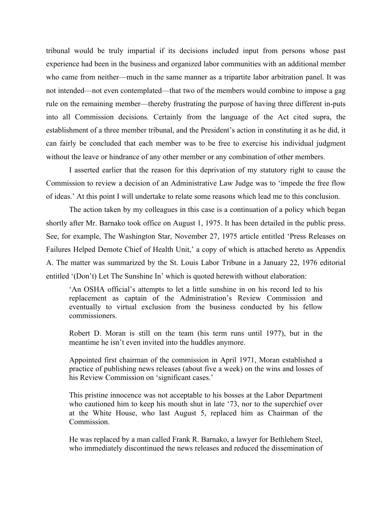tribunal would be truly impartial if its decisions included input from persons whose past experience had been in the business and organized labor communities with an additional member who came from neither—much in the same manner as a tripartite labor arbitration panel. It was not intended—not even contemplated—that two of the members would combine to impose a gag rule on the remaining member—thereby frustrating the purpose of having three different in-puts into all Commission decisions. Certainly from the language of the Act cited supra, the establishment of a three member tribunal, and the President's action in constituting it as he did, it can fairly be concluded that each member was to be free to exercise his individual judgment without the leave or hindrance of any other member or any combination of other members.

I asserted earlier that the reason for this deprivation of my statutory right to cause the Commission to review a decision of an Administrative Law Judge was to 'impede the free flow of ideas.' At this point I will undertake to relate some reasons which lead me to this conclusion.

The action taken by my colleagues in this case is a continuation of a policy which began shortly after Mr. Barnako took office on August 1, 1975. It has been detailed in the public press. See, for example, The Washington Star, November 27, 1975 article entitled 'Press Releases on Failures Helped Demote Chief of Health Unit,' a copy of which is attached hereto as Appendix A. The matter was summarized by the St. Louis Labor Tribune in a January 22, 1976 editorial entitled '(Don't) Let The Sunshine In' which is quoted herewith without elaboration:

'An OSHA official's attempts to let a little sunshine in on his record led to his replacement as captain of the Administration's Review Commission and eventually to virtual exclusion from the business conducted by his fellow commissioners.

Robert D. Moran is still on the team (his term runs until 1977), but in the meantime he isn't even invited into the huddles anymore.

Appointed first chairman of the commission in April 1971, Moran established a practice of publishing news releases (about five a week) on the wins and losses of his Review Commission on 'significant cases.'

This pristine innocence was not acceptable to his bosses at the Labor Department who cautioned him to keep his mouth shut in late '73, nor to the superchief over at the White House, who last August 5, replaced him as Chairman of the Commission.

He was replaced by a man called Frank R. Barnako, a lawyer for Bethlehem Steel, who immediately discontinued the news releases and reduced the dissemination of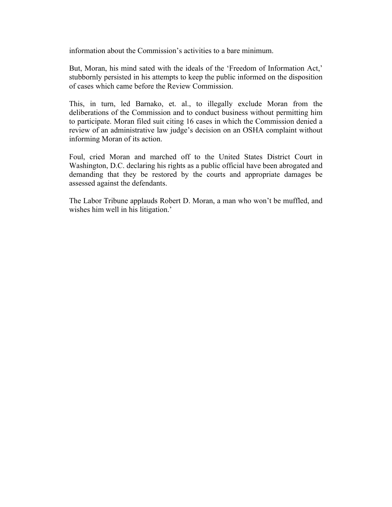information about the Commission's activities to a bare minimum.

But, Moran, his mind sated with the ideals of the 'Freedom of Information Act,' stubbornly persisted in his attempts to keep the public informed on the disposition of cases which came before the Review Commission.

This, in turn, led Barnako, et. al., to illegally exclude Moran from the deliberations of the Commission and to conduct business without permitting him to participate. Moran filed suit citing 16 cases in which the Commission denied a review of an administrative law judge's decision on an OSHA complaint without informing Moran of its action.

Foul, cried Moran and marched off to the United States District Court in Washington, D.C. declaring his rights as a public official have been abrogated and demanding that they be restored by the courts and appropriate damages be assessed against the defendants.

The Labor Tribune applauds Robert D. Moran, a man who won't be muffled, and wishes him well in his litigation.'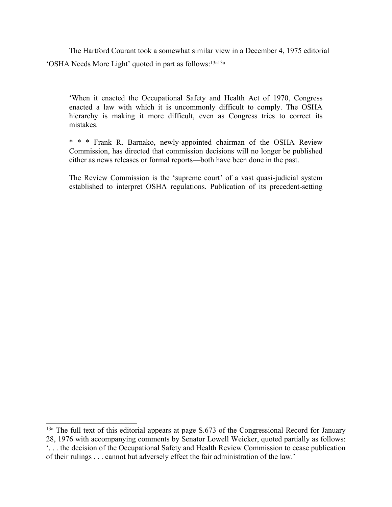The Hartford Courant took a somewhat similar view in a December 4, 1975 editorial 'OSHA Needs More Light' quoted in part as follows:13a13a

'When it enacted the Occupational Safety and Health Act of 1970, Congress enacted a law with which it is uncommonly difficult to comply. The OSHA hierarchy is making it more difficult, even as Congress tries to correct its mistakes.

\* \* \* Frank R. Barnako, newly-appointed chairman of the OSHA Review Commission, has directed that commission decisions will no longer be published either as news releases or formal reports—both have been done in the past.

The Review Commission is the 'supreme court' of a vast quasi-judicial system established to interpret OSHA regulations. Publication of its precedent-setting

<sup>&</sup>lt;sup>13a</sup> The full text of this editorial appears at page S.673 of the Congressional Record for January 28, 1976 with accompanying comments by Senator Lowell Weicker, quoted partially as follows: '. . . the decision of the Occupational Safety and Health Review Commission to cease publication of their rulings . . . cannot but adversely effect the fair administration of the law.'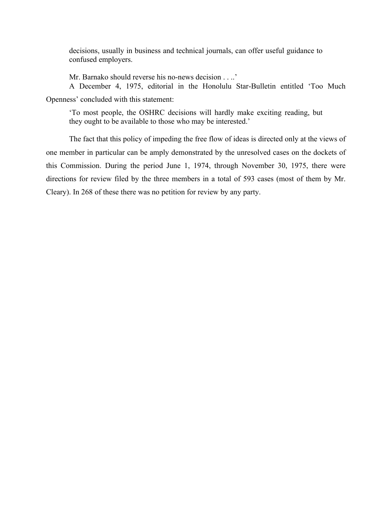decisions, usually in business and technical journals, can offer useful guidance to confused employers.

Mr. Barnako should reverse his no-news decision . . ..'

A December 4, 1975, editorial in the Honolulu Star-Bulletin entitled 'Too Much Openness' concluded with this statement:

'To most people, the OSHRC decisions will hardly make exciting reading, but they ought to be available to those who may be interested.'

The fact that this policy of impeding the free flow of ideas is directed only at the views of one member in particular can be amply demonstrated by the unresolved cases on the dockets of this Commission. During the period June 1, 1974, through November 30, 1975, there were directions for review filed by the three members in a total of 593 cases (most of them by Mr. Cleary). In 268 of these there was no petition for review by any party.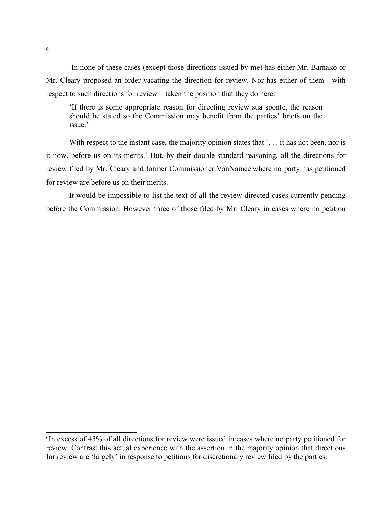In none of these cases (except those directions issued by me) has either Mr. Barnako or Mr. Cleary proposed an order vacating the direction for review. Nor has either of them—with respect to such directions for review—taken the position that they do here:

'If there is some appropriate reason for directing review sua sponte, the reason should be stated so the Commission may benefit from the parties' briefs on the issue.'

With respect to the instant case, the majority opinion states that '... it has not been, nor is it now, before us on its merits.' But, by their double-standard reasoning, all the directions for review filed by Mr. Cleary and former Commissioner VanNamee where no party has petitioned for review are before us on their merits.

It would be impossible to list the text of all the review-directed cases currently pending before the Commission. However three of those filed by Mr. Cleary in cases where no petition

<sup>6</sup> In excess of 45% of all directions for review were issued in cases where no party petitioned for review. Contrast this actual experience with the assertion in the majority opinion that directions for review are 'largely' in response to petitions for discretionary review filed by the parties.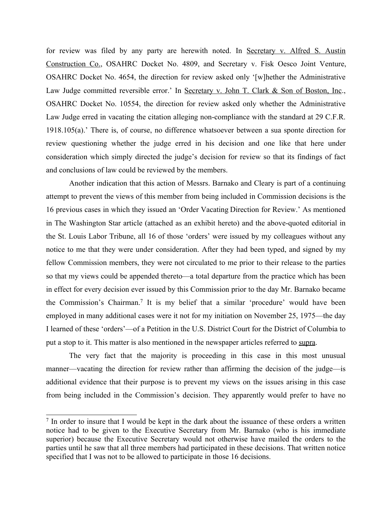for review was filed by any party are herewith noted. In Secretary v. Alfred S. Austin Construction Co., OSAHRC Docket No. 4809, and Secretary v. Fisk Oesco Joint Venture, OSAHRC Docket No. 4654, the direction for review asked only '[w]hether the Administrative Law Judge committed reversible error.' In Secretary v. John T. Clark & Son of Boston, Inc., OSAHRC Docket No. 10554, the direction for review asked only whether the Administrative Law Judge erred in vacating the citation alleging non-compliance with the standard at 29 C.F.R. 1918.105(a).' There is, of course, no difference whatsoever between a sua sponte direction for review questioning whether the judge erred in his decision and one like that here under consideration which simply directed the judge's decision for review so that its findings of fact and conclusions of law could be reviewed by the members.

Another indication that this action of Messrs. Barnako and Cleary is part of a continuing attempt to prevent the views of this member from being included in Commission decisions is the 16 previous cases in which they issued an 'Order Vacating Direction for Review.' As mentioned in The Washington Star article (attached as an exhibit hereto) and the above-quoted editorial in the St. Louis Labor Tribune, all 16 of those 'orders' were issued by my colleagues without any notice to me that they were under consideration. After they had been typed, and signed by my fellow Commission members, they were not circulated to me prior to their release to the parties so that my views could be appended thereto—a total departure from the practice which has been in effect for every decision ever issued by this Commission prior to the day Mr. Barnako became the Commission's Chairman.<sup>7</sup> It is my belief that a similar 'procedure' would have been employed in many additional cases were it not for my initiation on November 25, 1975—the day I learned of these 'orders'—of a Petition in the U.S. District Court for the District of Columbia to put a stop to it. This matter is also mentioned in the newspaper articles referred to supra.

The very fact that the majority is proceeding in this case in this most unusual manner—vacating the direction for review rather than affirming the decision of the judge—is additional evidence that their purpose is to prevent my views on the issues arising in this case from being included in the Commission's decision. They apparently would prefer to have no

<sup>&</sup>lt;sup>7</sup> In order to insure that I would be kept in the dark about the issuance of these orders a written notice had to be given to the Executive Secretary from Mr. Barnako (who is his immediate superior) because the Executive Secretary would not otherwise have mailed the orders to the parties until he saw that all three members had participated in these decisions. That written notice specified that I was not to be allowed to participate in those 16 decisions.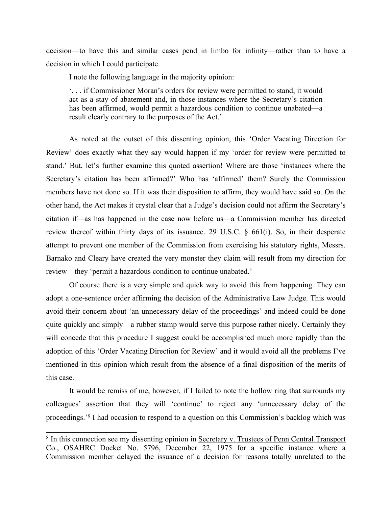decision—to have this and similar cases pend in limbo for infinity—rather than to have a decision in which I could participate.

I note the following language in the majority opinion:

'. . . if Commissioner Moran's orders for review were permitted to stand, it would act as a stay of abatement and, in those instances where the Secretary's citation has been affirmed, would permit a hazardous condition to continue unabated—a result clearly contrary to the purposes of the Act.'

As noted at the outset of this dissenting opinion, this 'Order Vacating Direction for Review' does exactly what they say would happen if my 'order for review were permitted to stand.' But, let's further examine this quoted assertion! Where are those 'instances where the Secretary's citation has been affirmed?' Who has 'affirmed' them? Surely the Commission members have not done so. If it was their disposition to affirm, they would have said so. On the other hand, the Act makes it crystal clear that a Judge's decision could not affirm the Secretary's citation if—as has happened in the case now before us—a Commission member has directed review thereof within thirty days of its issuance. 29 U.S.C. § 661(i). So, in their desperate attempt to prevent one member of the Commission from exercising his statutory rights, Messrs. Barnako and Cleary have created the very monster they claim will result from my direction for review—they 'permit a hazardous condition to continue unabated.'

Of course there is a very simple and quick way to avoid this from happening. They can adopt a one-sentence order affirming the decision of the Administrative Law Judge. This would avoid their concern about 'an unnecessary delay of the proceedings' and indeed could be done quite quickly and simply—a rubber stamp would serve this purpose rather nicely. Certainly they will concede that this procedure I suggest could be accomplished much more rapidly than the adoption of this 'Order Vacating Direction for Review' and it would avoid all the problems I've mentioned in this opinion which result from the absence of a final disposition of the merits of this case.

It would be remiss of me, however, if I failed to note the hollow ring that surrounds my colleagues' assertion that they will 'continue' to reject any 'unnecessary delay of the proceedings.'<sup>8</sup> I had occasion to respond to a question on this Commission's backlog which was

<sup>&</sup>lt;sup>8</sup> In this connection see my dissenting opinion in Secretary v. Trustees of Penn Central Transport Co., OSAHRC Docket No. 5796, December 22, 1975 for a specific instance where a Commission member delayed the issuance of a decision for reasons totally unrelated to the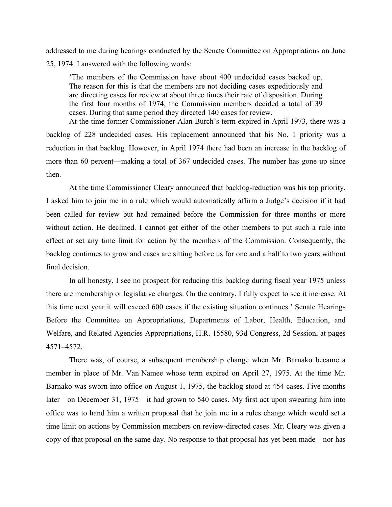addressed to me during hearings conducted by the Senate Committee on Appropriations on June 25, 1974. I answered with the following words:

'The members of the Commission have about 400 undecided cases backed up. The reason for this is that the members are not deciding cases expeditiously and are directing cases for review at about three times their rate of disposition. During the first four months of 1974, the Commission members decided a total of 39 cases. During that same period they directed 140 cases for review. At the time former Commissioner Alan Burch's term expired in April 1973, there was a

backlog of 228 undecided cases. His replacement announced that his No. 1 priority was a reduction in that backlog. However, in April 1974 there had been an increase in the backlog of more than 60 percent—making a total of 367 undecided cases. The number has gone up since then.

At the time Commissioner Cleary announced that backlog-reduction was his top priority. I asked him to join me in a rule which would automatically affirm a Judge's decision if it had been called for review but had remained before the Commission for three months or more without action. He declined. I cannot get either of the other members to put such a rule into effect or set any time limit for action by the members of the Commission. Consequently, the backlog continues to grow and cases are sitting before us for one and a half to two years without final decision.

In all honesty, I see no prospect for reducing this backlog during fiscal year 1975 unless there are membership or legislative changes. On the contrary, I fully expect to see it increase. At this time next year it will exceed 600 cases if the existing situation continues.' Senate Hearings Before the Committee on Appropriations, Departments of Labor, Health, Education, and Welfare, and Related Agencies Appropriations, H.R. 15580, 93d Congress, 2d Session, at pages 4571–4572.

There was, of course, a subsequent membership change when Mr. Barnako became a member in place of Mr. Van Namee whose term expired on April 27, 1975. At the time Mr. Barnako was sworn into office on August 1, 1975, the backlog stood at 454 cases. Five months later—on December 31, 1975—it had grown to 540 cases. My first act upon swearing him into office was to hand him a written proposal that he join me in a rules change which would set a time limit on actions by Commission members on review-directed cases. Mr. Cleary was given a copy of that proposal on the same day. No response to that proposal has yet been made—nor has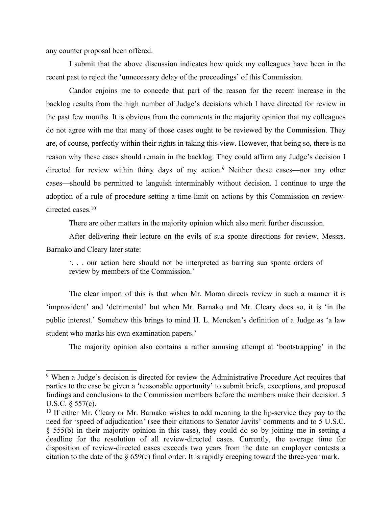any counter proposal been offered.

I submit that the above discussion indicates how quick my colleagues have been in the recent past to reject the 'unnecessary delay of the proceedings' of this Commission.

Candor enjoins me to concede that part of the reason for the recent increase in the backlog results from the high number of Judge's decisions which I have directed for review in the past few months. It is obvious from the comments in the majority opinion that my colleagues do not agree with me that many of those cases ought to be reviewed by the Commission. They are, of course, perfectly within their rights in taking this view. However, that being so, there is no reason why these cases should remain in the backlog. They could affirm any Judge's decision I directed for review within thirty days of my action.<sup>9</sup> Neither these cases—nor any other cases—should be permitted to languish interminably without decision. I continue to urge the adoption of a rule of procedure setting a time-limit on actions by this Commission on reviewdirected cases.<sup>10</sup>

There are other matters in the majority opinion which also merit further discussion.

After delivering their lecture on the evils of sua sponte directions for review, Messrs. Barnako and Cleary later state:

'. . . our action here should not be interpreted as barring sua sponte orders of review by members of the Commission.'

The clear import of this is that when Mr. Moran directs review in such a manner it is 'improvident' and 'detrimental' but when Mr. Barnako and Mr. Cleary does so, it is 'in the public interest.' Somehow this brings to mind H. L. Mencken's definition of a Judge as 'a law student who marks his own examination papers.'

The majority opinion also contains a rather amusing attempt at 'bootstrapping' in the

<sup>9</sup> When a Judge's decision is directed for review the Administrative Procedure Act requires that parties to the case be given a 'reasonable opportunity' to submit briefs, exceptions, and proposed findings and conclusions to the Commission members before the members make their decision. 5 U.S.C. § 557(c).

<sup>&</sup>lt;sup>10</sup> If either Mr. Cleary or Mr. Barnako wishes to add meaning to the lip-service they pay to the need for 'speed of adjudication' (see their citations to Senator Javits' comments and to 5 U.S.C. § 555(b) in their majority opinion in this case), they could do so by joining me in setting a deadline for the resolution of all review-directed cases. Currently, the average time for disposition of review-directed cases exceeds two years from the date an employer contests a citation to the date of the § 659(c) final order. It is rapidly creeping toward the three-year mark.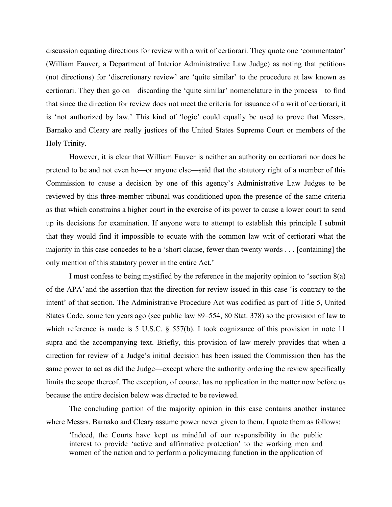discussion equating directions for review with a writ of certiorari. They quote one 'commentator' (William Fauver, a Department of Interior Administrative Law Judge) as noting that petitions (not directions) for 'discretionary review' are 'quite similar' to the procedure at law known as certiorari. They then go on—discarding the 'quite similar' nomenclature in the process—to find that since the direction for review does not meet the criteria for issuance of a writ of certiorari, it is 'not authorized by law.' This kind of 'logic' could equally be used to prove that Messrs. Barnako and Cleary are really justices of the United States Supreme Court or members of the Holy Trinity.

However, it is clear that William Fauver is neither an authority on certiorari nor does he pretend to be and not even he—or anyone else—said that the statutory right of a member of this Commission to cause a decision by one of this agency's Administrative Law Judges to be reviewed by this three-member tribunal was conditioned upon the presence of the same criteria as that which constrains a higher court in the exercise of its power to cause a lower court to send up its decisions for examination. If anyone were to attempt to establish this principle I submit that they would find it impossible to equate with the common law writ of certiorari what the majority in this case concedes to be a 'short clause, fewer than twenty words . . . [containing] the only mention of this statutory power in the entire Act.'

I must confess to being mystified by the reference in the majority opinion to 'section 8(a) of the APA' and the assertion that the direction for review issued in this case 'is contrary to the intent' of that section. The Administrative Procedure Act was codified as part of Title 5, United States Code, some ten years ago (see public law 89–554, 80 Stat. 378) so the provision of law to which reference is made is 5 U.S.C. § 557(b). I took cognizance of this provision in note 11 supra and the accompanying text. Briefly, this provision of law merely provides that when a direction for review of a Judge's initial decision has been issued the Commission then has the same power to act as did the Judge—except where the authority ordering the review specifically limits the scope thereof. The exception, of course, has no application in the matter now before us because the entire decision below was directed to be reviewed.

The concluding portion of the majority opinion in this case contains another instance where Messrs. Barnako and Cleary assume power never given to them. I quote them as follows:

'Indeed, the Courts have kept us mindful of our responsibility in the public interest to provide 'active and affirmative protection' to the working men and women of the nation and to perform a policymaking function in the application of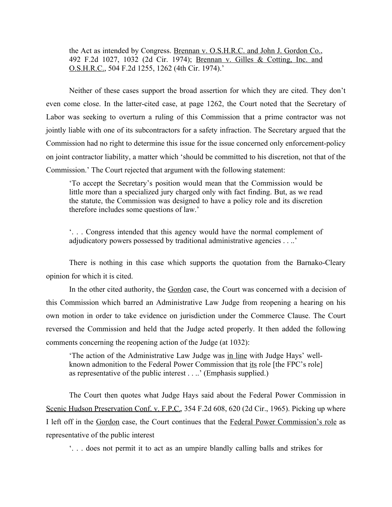the Act as intended by Congress. Brennan v. O.S.H.R.C. and John J. Gordon Co., 492 F.2d 1027, 1032 (2d Cir. 1974); Brennan v. Gilles & Cotting, Inc. and O.S.H.R.C., 504 F.2d 1255, 1262 (4th Cir. 1974).'

Neither of these cases support the broad assertion for which they are cited. They don't even come close. In the latter-cited case, at page 1262, the Court noted that the Secretary of Labor was seeking to overturn a ruling of this Commission that a prime contractor was not jointly liable with one of its subcontractors for a safety infraction. The Secretary argued that the Commission had no right to determine this issue for the issue concerned only enforcement-policy on joint contractor liability, a matter which 'should be committed to his discretion, not that of the Commission.' The Court rejected that argument with the following statement:

'To accept the Secretary's position would mean that the Commission would be little more than a specialized jury charged only with fact finding. But, as we read the statute, the Commission was designed to have a policy role and its discretion therefore includes some questions of law.'

'. . . Congress intended that this agency would have the normal complement of adjudicatory powers possessed by traditional administrative agencies . . ..'

There is nothing in this case which supports the quotation from the Barnako-Cleary opinion for which it is cited.

In the other cited authority, the Gordon case, the Court was concerned with a decision of this Commission which barred an Administrative Law Judge from reopening a hearing on his own motion in order to take evidence on jurisdiction under the Commerce Clause. The Court reversed the Commission and held that the Judge acted properly. It then added the following comments concerning the reopening action of the Judge (at 1032):

'The action of the Administrative Law Judge was in line with Judge Hays' wellknown admonition to the Federal Power Commission that its role [the FPC's role] as representative of the public interest . . ..' (Emphasis supplied.)

The Court then quotes what Judge Hays said about the Federal Power Commission in Scenic Hudson Preservation Conf. v. F.P.C., 354 F.2d 608, 620 (2d Cir., 1965). Picking up where I left off in the Gordon case, the Court continues that the Federal Power Commission's role as representative of the public interest

'. . . does not permit it to act as an umpire blandly calling balls and strikes for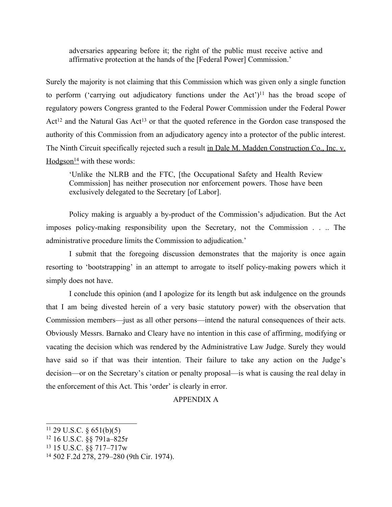adversaries appearing before it; the right of the public must receive active and affirmative protection at the hands of the [Federal Power] Commission.'

Surely the majority is not claiming that this Commission which was given only a single function to perform ('carrying out adjudicatory functions under the Act')<sup>11</sup> has the broad scope of regulatory powers Congress granted to the Federal Power Commission under the Federal Power Act<sup>12</sup> and the Natural Gas Act<sup>13</sup> or that the quoted reference in the Gordon case transposed the authority of this Commission from an adjudicatory agency into a protector of the public interest. The Ninth Circuit specifically rejected such a result in Dale M. Madden Construction Co., Inc. v.  $Hodgeson<sup>14</sup>$  with these words:

'Unlike the NLRB and the FTC, [the Occupational Safety and Health Review Commission] has neither prosecution nor enforcement powers. Those have been exclusively delegated to the Secretary [of Labor].

Policy making is arguably a by-product of the Commission's adjudication. But the Act imposes policy-making responsibility upon the Secretary, not the Commission . . .. The administrative procedure limits the Commission to adjudication.'

I submit that the foregoing discussion demonstrates that the majority is once again resorting to 'bootstrapping' in an attempt to arrogate to itself policy-making powers which it simply does not have.

I conclude this opinion (and I apologize for its length but ask indulgence on the grounds that I am being divested herein of a very basic statutory power) with the observation that Commission members—just as all other persons—intend the natural consequences of their acts. Obviously Messrs. Barnako and Cleary have no intention in this case of affirming, modifying or vacating the decision which was rendered by the Administrative Law Judge. Surely they would have said so if that was their intention. Their failure to take any action on the Judge's decision—or on the Secretary's citation or penalty proposal—is what is causing the real delay in the enforcement of this Act. This 'order' is clearly in error.

## APPENDIX A

 $11$  29 U.S.C. § 651(b)(5)

<sup>12</sup> 16 U.S.C. §§ 791a–825r

<sup>13</sup> 15 U.S.C. §§ 717–717w

<sup>14</sup> 502 F.2d 278, 279–280 (9th Cir. 1974).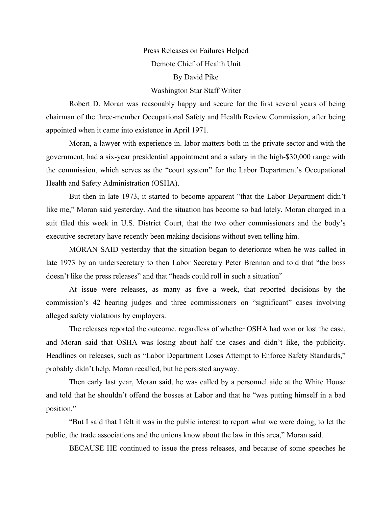# Press Releases on Failures Helped Demote Chief of Health Unit By David Pike Washington Star Staff Writer

Robert D. Moran was reasonably happy and secure for the first several years of being chairman of the three-member Occupational Safety and Health Review Commission, after being appointed when it came into existence in April 1971.

Moran, a lawyer with experience in. labor matters both in the private sector and with the government, had a six-year presidential appointment and a salary in the high-\$30,000 range with the commission, which serves as the "court system" for the Labor Department's Occupational Health and Safety Administration (OSHA).

But then in late 1973, it started to become apparent "that the Labor Department didn't like me," Moran said yesterday. And the situation has become so bad lately, Moran charged in a suit filed this week in U.S. District Court, that the two other commissioners and the body's executive secretary have recently been making decisions without even telling him.

MORAN SAID yesterday that the situation began to deteriorate when he was called in late 1973 by an undersecretary to then Labor Secretary Peter Brennan and told that "the boss doesn't like the press releases" and that "heads could roll in such a situation"

At issue were releases, as many as five a week, that reported decisions by the commission's 42 hearing judges and three commissioners on "significant" cases involving alleged safety violations by employers.

The releases reported the outcome, regardless of whether OSHA had won or lost the case, and Moran said that OSHA was losing about half the cases and didn't like, the publicity. Headlines on releases, such as "Labor Department Loses Attempt to Enforce Safety Standards," probably didn't help, Moran recalled, but he persisted anyway.

Then early last year, Moran said, he was called by a personnel aide at the White House and told that he shouldn't offend the bosses at Labor and that he "was putting himself in a bad position."

"But I said that I felt it was in the public interest to report what we were doing, to let the public, the trade associations and the unions know about the law in this area," Moran said.

BECAUSE HE continued to issue the press releases, and because of some speeches he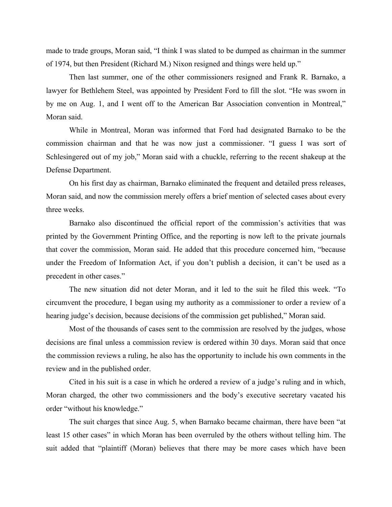made to trade groups, Moran said, "I think I was slated to be dumped as chairman in the summer of 1974, but then President (Richard M.) Nixon resigned and things were held up."

Then last summer, one of the other commissioners resigned and Frank R. Barnako, a lawyer for Bethlehem Steel, was appointed by President Ford to fill the slot. "He was sworn in by me on Aug. 1, and I went off to the American Bar Association convention in Montreal," Moran said.

While in Montreal, Moran was informed that Ford had designated Barnako to be the commission chairman and that he was now just a commissioner. "I guess I was sort of Schlesingered out of my job," Moran said with a chuckle, referring to the recent shakeup at the Defense Department.

On his first day as chairman, Barnako eliminated the frequent and detailed press releases, Moran said, and now the commission merely offers a brief mention of selected cases about every three weeks.

Barnako also discontinued the official report of the commission's activities that was printed by the Government Printing Office, and the reporting is now left to the private journals that cover the commission, Moran said. He added that this procedure concerned him, "because under the Freedom of Information Act, if you don't publish a decision, it can't be used as a precedent in other cases."

The new situation did not deter Moran, and it led to the suit he filed this week. "To circumvent the procedure, I began using my authority as a commissioner to order a review of a hearing judge's decision, because decisions of the commission get published," Moran said.

Most of the thousands of cases sent to the commission are resolved by the judges, whose decisions are final unless a commission review is ordered within 30 days. Moran said that once the commission reviews a ruling, he also has the opportunity to include his own comments in the review and in the published order.

Cited in his suit is a case in which he ordered a review of a judge's ruling and in which, Moran charged, the other two commissioners and the body's executive secretary vacated his order "without his knowledge."

The suit charges that since Aug. 5, when Barnako became chairman, there have been "at least 15 other cases" in which Moran has been overruled by the others without telling him. The suit added that "plaintiff (Moran) believes that there may be more cases which have been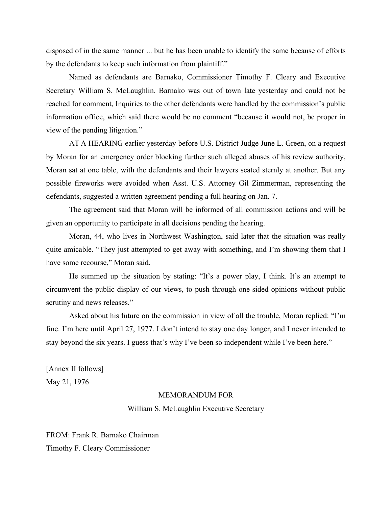disposed of in the same manner ... but he has been unable to identify the same because of efforts by the defendants to keep such information from plaintiff."

Named as defendants are Barnako, Commissioner Timothy F. Cleary and Executive Secretary William S. McLaughlin. Barnako was out of town late yesterday and could not be reached for comment, Inquiries to the other defendants were handled by the commission's public information office, which said there would be no comment "because it would not, be proper in view of the pending litigation."

AT A HEARING earlier yesterday before U.S. District Judge June L. Green, on a request by Moran for an emergency order blocking further such alleged abuses of his review authority, Moran sat at one table, with the defendants and their lawyers seated sternly at another. But any possible fireworks were avoided when Asst. U.S. Attorney Gil Zimmerman, representing the defendants, suggested a written agreement pending a full hearing on Jan. 7.

The agreement said that Moran will be informed of all commission actions and will be given an opportunity to participate in all decisions pending the hearing.

Moran, 44, who lives in Northwest Washington, said later that the situation was really quite amicable. "They just attempted to get away with something, and I'm showing them that I have some recourse," Moran said.

He summed up the situation by stating: "It's a power play, I think. It's an attempt to circumvent the public display of our views, to push through one-sided opinions without public scrutiny and news releases."

Asked about his future on the commission in view of all the trouble, Moran replied: "I'm fine. I'm here until April 27, 1977. I don't intend to stay one day longer, and I never intended to stay beyond the six years. I guess that's why I've been so independent while I've been here."

[Annex II follows] May 21, 1976

#### MEMORANDUM FOR

### William S. McLaughlin Executive Secretary

FROM: Frank R. Barnako Chairman Timothy F. Cleary Commissioner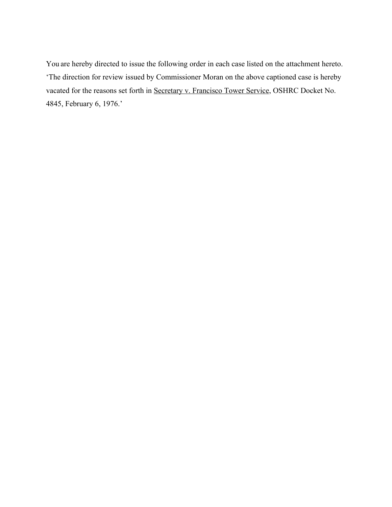You are hereby directed to issue the following order in each case listed on the attachment hereto. 'The direction for review issued by Commissioner Moran on the above captioned case is hereby vacated for the reasons set forth in Secretary v. Francisco Tower Service, OSHRC Docket No. 4845, February 6, 1976.'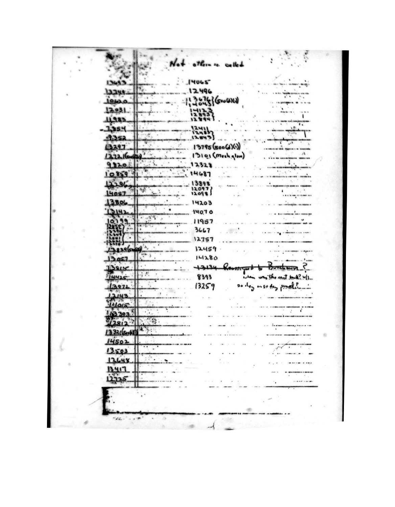|                             | There is called                                  |
|-----------------------------|--------------------------------------------------|
|                             |                                                  |
|                             | 14065                                            |
| 3249                        | 2496                                             |
| 0420                        | $S = \omega(\lambda)(x)$                         |
| 12031                       |                                                  |
| 1983                        |                                                  |
| 1,354                       | 1241                                             |
| 9.352                       | 12.843                                           |
| 3297                        | $13795$ (soo (d)(1)                              |
| 27216<br>m                  | 13101 (Mesh glow)                                |
| 9820                        | 12328                                            |
| 0859                        | 4687                                             |
| 2196                        | 13898                                            |
| 4057                        | 12097<br>12098                                   |
| 3806                        | 14203                                            |
| 3142                        | ٠                                                |
|                             | 14070<br>$\mathcal{F}^{\text{max}}_{\text{max}}$ |
|                             | 11957                                            |
|                             | 3667                                             |
|                             | 12757                                            |
| 9396                        | 12459<br>$\frac{1}{2}$                           |
| 13057                       | 14280                                            |
| 3815                        | 13134<br><b>GISTING</b>                          |
| 14425                       | $\frac{1}{2}$<br>8393<br>the sent to a? W/L      |
| 13971                       | o den penal!<br>13259                            |
| 1.2143                      |                                                  |
| 4015                        |                                                  |
| 13393                       |                                                  |
| 2812                        | $\mathcal{S}_\mathcal{S}$                        |
| $\sim$ $\prime$<br>532(500) | 14.3.4                                           |
| 14502                       |                                                  |
| 13503                       |                                                  |
| 13648                       |                                                  |
| 13417                       |                                                  |
|                             |                                                  |
|                             | -------                                          |
|                             |                                                  |
|                             |                                                  |
|                             |                                                  |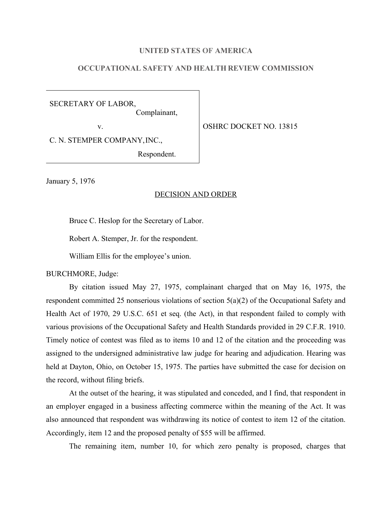## **UNITED STATES OF AMERICA**

# **OCCUPATIONAL SAFETY AND HEALTH REVIEW COMMISSION**

SECRETARY OF LABOR, Complainant,

v. STREET NO. 13815

C. N. STEMPER COMPANY,INC.,

Respondent.

January 5, 1976

#### DECISION AND ORDER

Bruce C. Heslop for the Secretary of Labor.

Robert A. Stemper, Jr. for the respondent.

William Ellis for the employee's union.

BURCHMORE, Judge:

By citation issued May 27, 1975, complainant charged that on May 16, 1975, the respondent committed 25 nonserious violations of section 5(a)(2) of the Occupational Safety and Health Act of 1970, 29 U.S.C. 651 et seq. (the Act), in that respondent failed to comply with various provisions of the Occupational Safety and Health Standards provided in 29 C.F.R. 1910. Timely notice of contest was filed as to items 10 and 12 of the citation and the proceeding was assigned to the undersigned administrative law judge for hearing and adjudication. Hearing was held at Dayton, Ohio, on October 15, 1975. The parties have submitted the case for decision on the record, without filing briefs.

At the outset of the hearing, it was stipulated and conceded, and I find, that respondent in an employer engaged in a business affecting commerce within the meaning of the Act. It was also announced that respondent was withdrawing its notice of contest to item 12 of the citation. Accordingly, item 12 and the proposed penalty of \$55 will be affirmed.

The remaining item, number 10, for which zero penalty is proposed, charges that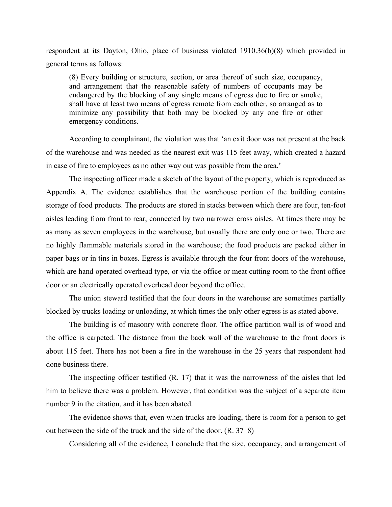respondent at its Dayton, Ohio, place of business violated 1910.36(b)(8) which provided in general terms as follows:

(8) Every building or structure, section, or area thereof of such size, occupancy, and arrangement that the reasonable safety of numbers of occupants may be endangered by the blocking of any single means of egress due to fire or smoke, shall have at least two means of egress remote from each other, so arranged as to minimize any possibility that both may be blocked by any one fire or other emergency conditions.

According to complainant, the violation was that 'an exit door was not present at the back of the warehouse and was needed as the nearest exit was 115 feet away, which created a hazard in case of fire to employees as no other way out was possible from the area.'

The inspecting officer made a sketch of the layout of the property, which is reproduced as Appendix A. The evidence establishes that the warehouse portion of the building contains storage of food products. The products are stored in stacks between which there are four, ten-foot aisles leading from front to rear, connected by two narrower cross aisles. At times there may be as many as seven employees in the warehouse, but usually there are only one or two. There are no highly flammable materials stored in the warehouse; the food products are packed either in paper bags or in tins in boxes. Egress is available through the four front doors of the warehouse, which are hand operated overhead type, or via the office or meat cutting room to the front office door or an electrically operated overhead door beyond the office.

The union steward testified that the four doors in the warehouse are sometimes partially blocked by trucks loading or unloading, at which times the only other egress is as stated above.

The building is of masonry with concrete floor. The office partition wall is of wood and the office is carpeted. The distance from the back wall of the warehouse to the front doors is about 115 feet. There has not been a fire in the warehouse in the 25 years that respondent had done business there.

The inspecting officer testified (R. 17) that it was the narrowness of the aisles that led him to believe there was a problem. However, that condition was the subject of a separate item number 9 in the citation, and it has been abated.

The evidence shows that, even when trucks are loading, there is room for a person to get out between the side of the truck and the side of the door. (R. 37–8)

Considering all of the evidence, I conclude that the size, occupancy, and arrangement of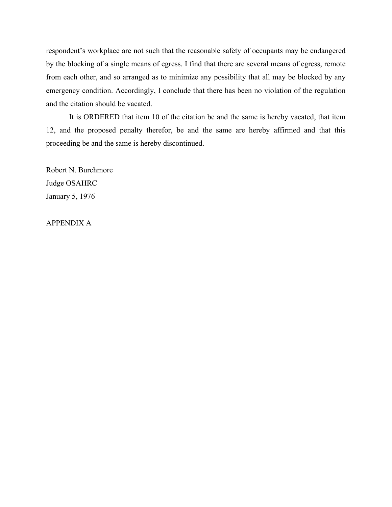respondent's workplace are not such that the reasonable safety of occupants may be endangered by the blocking of a single means of egress. I find that there are several means of egress, remote from each other, and so arranged as to minimize any possibility that all may be blocked by any emergency condition. Accordingly, I conclude that there has been no violation of the regulation and the citation should be vacated.

It is ORDERED that item 10 of the citation be and the same is hereby vacated, that item 12, and the proposed penalty therefor, be and the same are hereby affirmed and that this proceeding be and the same is hereby discontinued.

Robert N. Burchmore Judge OSAHRC January 5, 1976

APPENDIX A